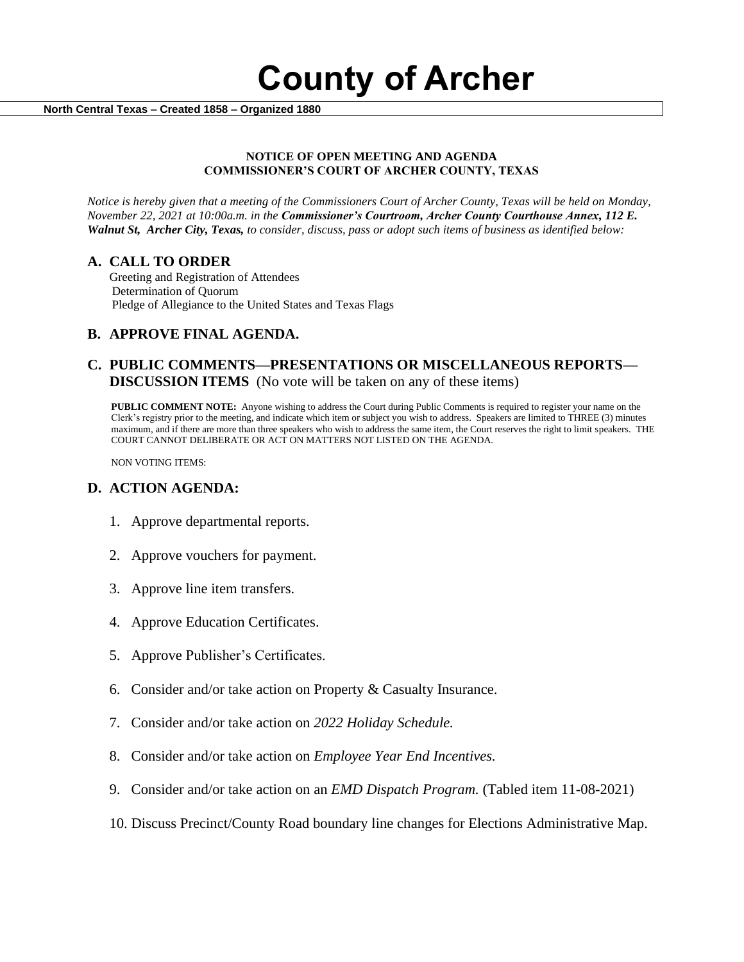**County of Archer** 

 **North Central Texas – Created 1858 – Organized 1880**

#### **NOTICE OF OPEN MEETING AND AGENDA COMMISSIONER'S COURT OF ARCHER COUNTY, TEXAS**

*Notice is hereby given that a meeting of the Commissioners Court of Archer County, Texas will be held on Monday, November 22, 2021 at 10:00a.m. in the Commissioner's Courtroom, Archer County Courthouse Annex, 112 E. Walnut St, Archer City, Texas, to consider, discuss, pass or adopt such items of business as identified below:*

#### **A. CALL TO ORDER**

 Greeting and Registration of Attendees Determination of Quorum Pledge of Allegiance to the United States and Texas Flags

## **B. APPROVE FINAL AGENDA.**

## **C. PUBLIC COMMENTS—PRESENTATIONS OR MISCELLANEOUS REPORTS— DISCUSSION ITEMS** (No vote will be taken on any of these items)

**PUBLIC COMMENT NOTE:** Anyone wishing to address the Court during Public Comments is required to register your name on the Clerk's registry prior to the meeting, and indicate which item or subject you wish to address. Speakers are limited to THREE (3) minutes maximum, and if there are more than three speakers who wish to address the same item, the Court reserves the right to limit speakers. THE COURT CANNOT DELIBERATE OR ACT ON MATTERS NOT LISTED ON THE AGENDA.

NON VOTING ITEMS:

## **D. ACTION AGENDA:**

- 1. Approve departmental reports.
- 2. Approve vouchers for payment.
- 3. Approve line item transfers.
- 4. Approve Education Certificates.
- 5. Approve Publisher's Certificates.
- 6. Consider and/or take action on Property & Casualty Insurance.
- 7. Consider and/or take action on *2022 Holiday Schedule.*
- 8. Consider and/or take action on *Employee Year End Incentives.*
- 9. Consider and/or take action on an *EMD Dispatch Program.* (Tabled item 11-08-2021)
- 10. Discuss Precinct/County Road boundary line changes for Elections Administrative Map.